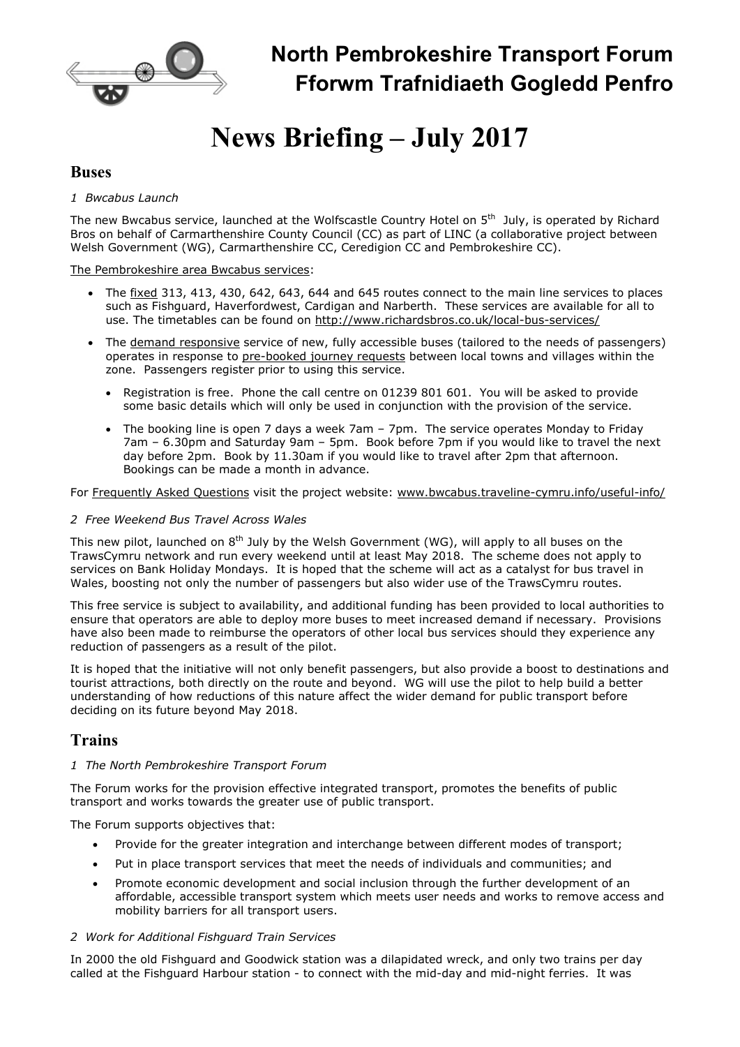

## North Pembrokeshire Transport Forum Fforwm Trafnidiaeth Gogledd Penfro

# News Briefing – July 2017

### Buses

#### 1 Bwcabus Launch

The new Bwcabus service, launched at the Wolfscastle Country Hotel on 5<sup>th</sup> July, is operated by Richard Bros on behalf of Carmarthenshire County Council (CC) as part of LINC (a collaborative project between Welsh Government (WG), Carmarthenshire CC, Ceredigion CC and Pembrokeshire CC).

#### The Pembrokeshire area Bwcabus services:

- The fixed 313, 413, 430, 642, 643, 644 and 645 routes connect to the main line services to places such as Fishguard, Haverfordwest, Cardigan and Narberth. These services are available for all to use. The timetables can be found on http://www.richardsbros.co.uk/local-bus-services/
- The demand responsive service of new, fully accessible buses (tailored to the needs of passengers) operates in response to pre-booked journey requests between local towns and villages within the zone. Passengers register prior to using this service.
	- Registration is free. Phone the call centre on 01239 801 601. You will be asked to provide some basic details which will only be used in conjunction with the provision of the service.
	- The booking line is open 7 days a week 7am 7pm. The service operates Monday to Friday 7am – 6.30pm and Saturday 9am – 5pm. Book before 7pm if you would like to travel the next day before 2pm. Book by 11.30am if you would like to travel after 2pm that afternoon. Bookings can be made a month in advance.

For Frequently Asked Questions visit the project website: www.bwcabus.traveline-cymru.info/useful-info/

#### 2 Free Weekend Bus Travel Across Wales

This new pilot, launched on 8<sup>th</sup> July by the Welsh Government (WG), will apply to all buses on the TrawsCymru network and run every weekend until at least May 2018. The scheme does not apply to services on Bank Holiday Mondays. It is hoped that the scheme will act as a catalyst for bus travel in Wales, boosting not only the number of passengers but also wider use of the TrawsCymru routes.

This free service is subject to availability, and additional funding has been provided to local authorities to ensure that operators are able to deploy more buses to meet increased demand if necessary. Provisions have also been made to reimburse the operators of other local bus services should they experience any reduction of passengers as a result of the pilot.

It is hoped that the initiative will not only benefit passengers, but also provide a boost to destinations and tourist attractions, both directly on the route and beyond. WG will use the pilot to help build a better understanding of how reductions of this nature affect the wider demand for public transport before deciding on its future beyond May 2018.

## Trains

#### 1 The North Pembrokeshire Transport Forum

The Forum works for the provision effective integrated transport, promotes the benefits of public transport and works towards the greater use of public transport.

The Forum supports objectives that:

- Provide for the greater integration and interchange between different modes of transport;
- Put in place transport services that meet the needs of individuals and communities; and
- Promote economic development and social inclusion through the further development of an affordable, accessible transport system which meets user needs and works to remove access and mobility barriers for all transport users.

#### 2 Work for Additional Fishguard Train Services

In 2000 the old Fishguard and Goodwick station was a dilapidated wreck, and only two trains per day called at the Fishguard Harbour station - to connect with the mid-day and mid-night ferries. It was